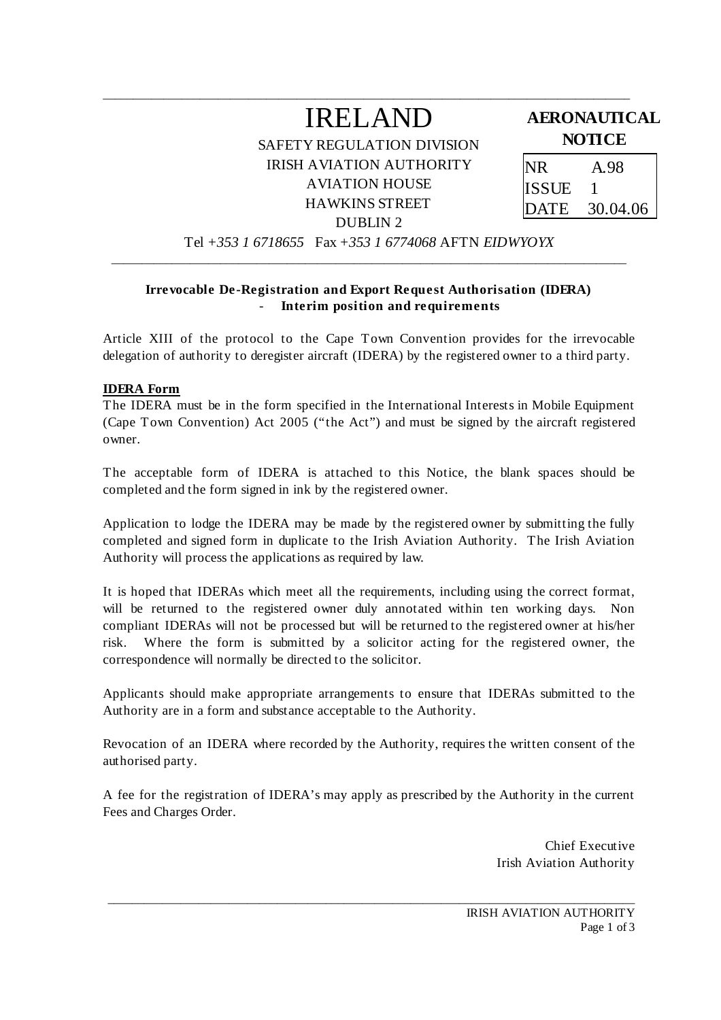# IRELAND

\_\_\_\_\_\_\_\_\_\_\_\_\_\_\_\_\_\_\_\_\_\_\_\_\_\_\_\_\_\_\_\_\_\_\_\_\_\_\_\_\_\_\_\_\_\_\_\_\_\_\_\_\_\_\_\_\_\_\_\_\_\_\_\_\_\_\_\_\_\_\_\_\_\_\_\_\_\_\_\_\_\_\_\_\_\_\_

SAFETY REGULATION DIVISION IRISH AVIATION AUTHORITY AVIATION HOUSE HAWKINS STREET DUBLIN 2

### **AERONAUTICAL NOTICE**

NR A.98 ISSUE 1 DATE 30.04.06

Tel *+353 1 6718655* Fax *+353 1 6774068* AFTN *EIDWYOYX* \_\_\_\_\_\_\_\_\_\_\_\_\_\_\_\_\_\_\_\_\_\_\_\_\_\_\_\_\_\_\_\_\_\_\_\_\_\_\_\_\_\_\_\_\_\_\_\_\_\_\_\_\_\_\_\_\_\_\_\_\_\_\_\_\_\_\_\_\_\_\_\_\_\_\_\_\_\_\_\_\_\_\_\_\_

#### **Irrevocable De-Registration and Export Request Authorisation (IDERA)**  - **Interim position and requirements**

Article XIII of the protocol to the Cape Town Convention provides for the irrevocable delegation of authority to deregister aircraft (IDERA) by the registered owner to a third party.

#### **IDERA Form**

The IDERA must be in the form specified in the International Interests in Mobile Equipment (Cape Town Convention) Act 2005 ("the Act") and must be signed by the aircraft registered owner.

The acceptable form of IDERA is attached to this Notice, the blank spaces should be completed and the form signed in ink by the registered owner.

Application to lodge the IDERA may be made by the registered owner by submitting the fully completed and signed form in duplicate to the Irish Aviation Authority. The Irish Aviation Authority will process the applications as required by law.

It is hoped that IDERAs which meet all the requirements, including using the correct format, will be returned to the registered owner duly annotated within ten working days. Non compliant IDERAs will not be processed but will be returned to the registered owner at his/her risk. Where the form is submitted by a solicitor acting for the registered owner, the correspondence will normally be directed to the solicitor.

Applicants should make appropriate arrangements to ensure that IDERAs submitted to the Authority are in a form and substance acceptable to the Authority.

Revocation of an IDERA where recorded by the Authority, requires the written consent of the authorised party.

A fee for the registration of IDERA's may apply as prescribed by the Authority in the current Fees and Charges Order.

\_\_\_\_\_\_\_\_\_\_\_\_\_\_\_\_\_\_\_\_\_\_\_\_\_\_\_\_\_\_\_\_\_\_\_\_\_\_\_\_\_\_\_\_\_\_\_\_\_\_\_\_\_\_\_\_\_\_\_\_\_\_\_\_\_\_\_\_\_\_\_\_\_\_\_\_\_\_\_\_\_\_\_\_\_\_\_

 Chief Executive Irish Aviation Authority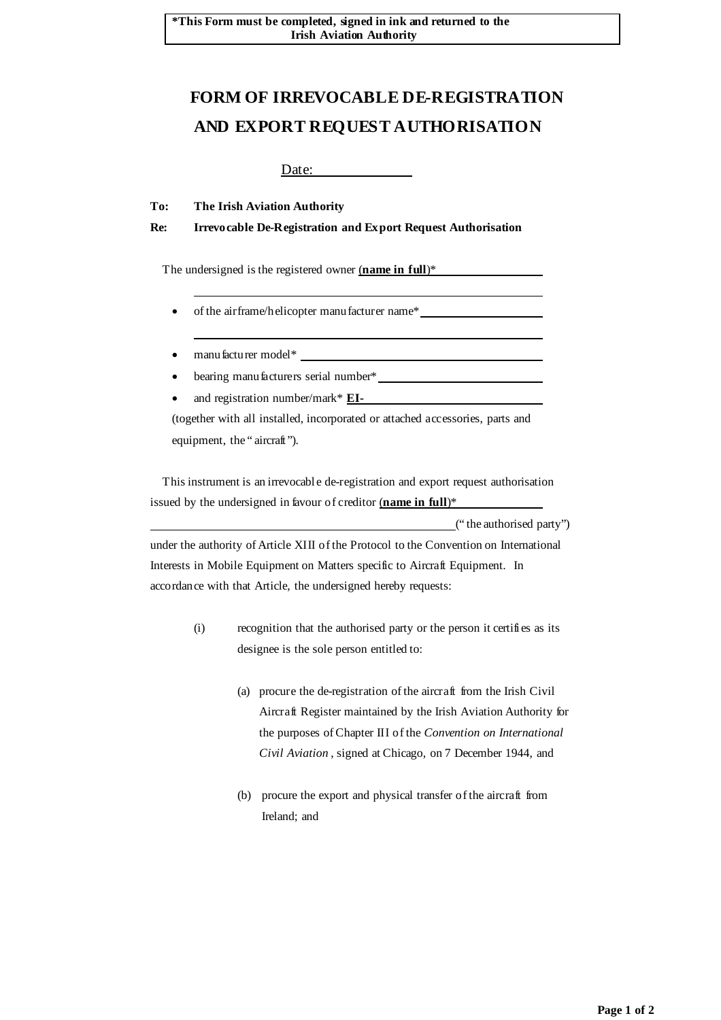## **FORM OF IRREVOCABLE DE-REGISTRATION AND EXPORT REQUEST AUTHORISATION**

Date:

**To: The Irish Aviation Authority** 

**Re: Irrevocable De-Registration and Export Request Authorisation** 

The undersigned is the registered owner (**name in full**)\*

- of the airframe/helicopter manufacturer name\*
- manufacturer model\*

- bearing manufacturers serial number\*
- and registration number/mark\* **EI-**

(together with all installed, incorporated or attached accessories, parts and equipment, the " aircraft").

 This instrument is an irrevocable de-registration and export request authorisation issued by the undersigned in favour of creditor (**name in full**)\*

 (" the authorised party") under the authority of Article XIII of the Protocol to the Convention on International Interests in Mobile Equipment on Matters specific to Aircraft Equipment. In accordance with that Article, the undersigned hereby requests:

- (i) recognition that the authorised party or the person it certifies as its designee is the sole person entitled to:
	- (a) procure the de-registration of the aircraft from the Irish Civil Aircraft Register maintained by the Irish Aviation Authority for the purposes of Chapter III of the *Convention on International Civil Aviation* , signed at Chicago, on 7 December 1944, and
	- (b) procure the export and physical transfer of the aircraft from Ireland; and